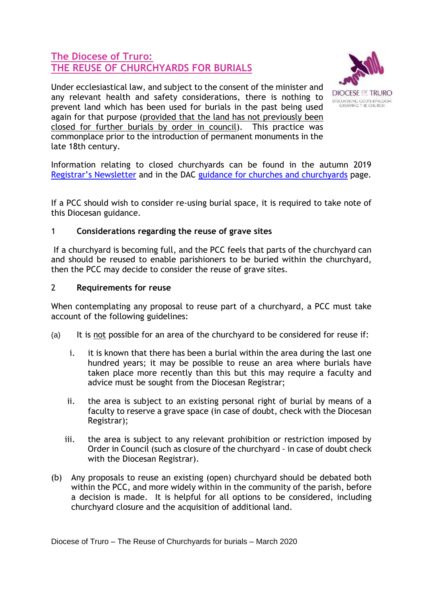## **The Diocese of Truro: THE REUSE OF CHURCHYARDS FOR BURIALS**



Under ecclesiastical law, and subject to the consent of the minister and any relevant health and safety considerations, there is nothing to prevent land which has been used for burials in the past being used again for that purpose (provided that the land has not previously been closed for further burials by order in council). This practice was commonplace prior to the introduction of permanent monuments in the late 18th century.

Information relating to closed churchyards can be found in the autumn 2019 [Registrar's Newsletter](https://www.trurodiocese.org.uk/wp-content/uploads/2016/06/8-b-i-Diocese-of-Truro-Newsletter-Autumn-2019_compressed.pdf) and in the DAC [guidance for churches and churchyards](https://www.trurodiocese.org.uk/resources/parish-resources/dac/churches-churchyard-guidance/) page*.*

If a PCC should wish to consider re-using burial space, it is required to take note of this Diocesan guidance.

## 1 **Considerations regarding the reuse of grave sites**

If a churchyard is becoming full, and the PCC feels that parts of the churchyard can and should be reused to enable parishioners to be buried within the churchyard, then the PCC may decide to consider the reuse of grave sites.

## 2 **Requirements for reuse**

When contemplating any proposal to reuse part of a churchyard, a PCC must take account of the following guidelines:

- (a) It is not possible for an area of the churchyard to be considered for reuse if:
	- i. it is known that there has been a burial within the area during the last one hundred years; it may be possible to reuse an area where burials have taken place more recently than this but this may require a faculty and advice must be sought from the Diocesan Registrar;
	- ii. the area is subject to an existing personal right of burial by means of a faculty to reserve a grave space (in case of doubt, check with the Diocesan Registrar);
	- iii. the area is subject to any relevant prohibition or restriction imposed by Order in Council (such as closure of the churchyard - in case of doubt check with the Diocesan Registrar).
- (b) Any proposals to reuse an existing (open) churchyard should be debated both within the PCC, and more widely within in the community of the parish, before a decision is made. It is helpful for all options to be considered, including churchyard closure and the acquisition of additional land.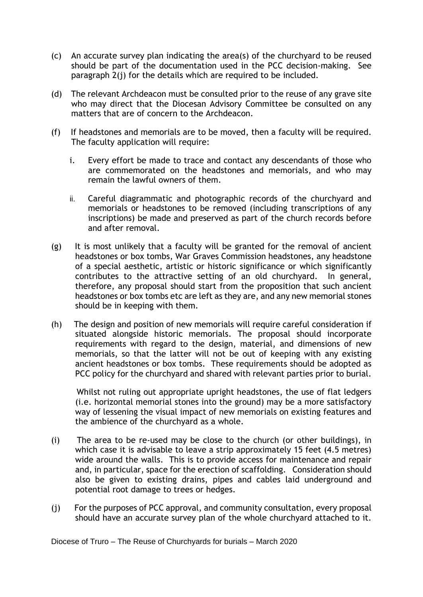- (c) An accurate survey plan indicating the area(s) of the churchyard to be reused should be part of the documentation used in the PCC decision-making. See paragraph 2(j) for the details which are required to be included.
- (d) The relevant Archdeacon must be consulted prior to the reuse of any grave site who may direct that the Diocesan Advisory Committee be consulted on any matters that are of concern to the Archdeacon.
- (f) If headstones and memorials are to be moved, then a faculty will be required. The faculty application will require:
	- i. Every effort be made to trace and contact any descendants of those who are commemorated on the headstones and memorials, and who may remain the lawful owners of them.
	- ii. Careful diagrammatic and photographic records of the churchyard and memorials or headstones to be removed (including transcriptions of any inscriptions) be made and preserved as part of the church records before and after removal.
- (g) It is most unlikely that a faculty will be granted for the removal of ancient headstones or box tombs, War Graves Commission headstones, any headstone of a special aesthetic, artistic or historic significance or which significantly contributes to the attractive setting of an old churchyard. In general, therefore, any proposal should start from the proposition that such ancient headstones or box tombs etc are left as they are, and any new memorial stones should be in keeping with them.
- (h) The design and position of new memorials will require careful consideration if situated alongside historic memorials. The proposal should incorporate requirements with regard to the design, material, and dimensions of new memorials, so that the latter will not be out of keeping with any existing ancient headstones or box tombs. These requirements should be adopted as PCC policy for the churchyard and shared with relevant parties prior to burial.

 Whilst not ruling out appropriate upright headstones, the use of flat ledgers (i.e. horizontal memorial stones into the ground) may be a more satisfactory way of lessening the visual impact of new memorials on existing features and the ambience of the churchyard as a whole.

- (i) The area to be re-used may be close to the church (or other buildings), in which case it is advisable to leave a strip approximately 15 feet (4.5 metres) wide around the walls. This is to provide access for maintenance and repair and, in particular, space for the erection of scaffolding. Consideration should also be given to existing drains, pipes and cables laid underground and potential root damage to trees or hedges.
- (j) For the purposes of PCC approval, and community consultation, every proposal should have an accurate survey plan of the whole churchyard attached to it.

Diocese of Truro – The Reuse of Churchyards for burials – March 2020